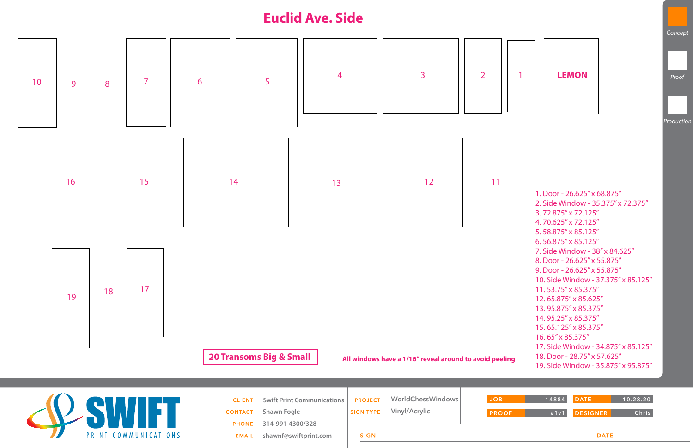|  | <b>CLIENT</b>   Swift Print Communications |             | PROJECT   WorldChessWindows | <b>JOB</b>   |
|--|--------------------------------------------|-------------|-----------------------------|--------------|
|  | <b>CONTACT</b> Shawn Fogle                 |             | SIGN TYPE   Vinyl/Acrylic   | <b>PROOF</b> |
|  | PHONE 314-991-4300/328                     |             |                             |              |
|  | EMAIL   shawnf@swiftprint.com              | <b>SIGN</b> |                             |              |
|  |                                            |             |                             |              |



## **DATE**

## **Euclid Ave. Side**



**20 Transoms Big & Small All windows have a 1/16" reveal around to avoid peeling**